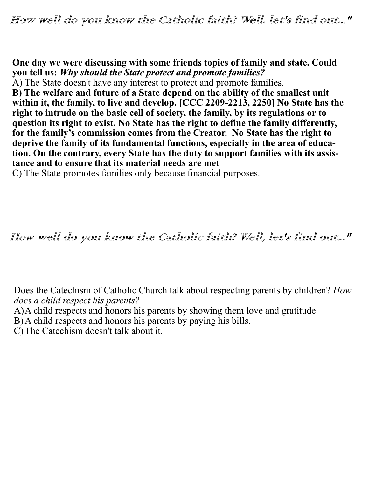**One day we were discussing with some friends topics of family and state. Could you tell us:** *Why should the State protect and promote families?*

A) The State doesn't have any interest to protect and promote families.

**B) The welfare and future of a State depend on the ability of the smallest unit within it, the family, to live and develop. [CCC 2209-2213, 2250] No State has the right to intrude on the basic cell of society, the family, by its regulations or to question its right to exist. No State has the right to define the family differently, for the family's commission comes from the Creator. No State has the right to deprive the family of its fundamental functions, especially in the area of education. On the contrary, every State has the duty to support families with its assistance and to ensure that its material needs are met**

C) The State promotes families only because financial purposes.

How well do you know the Catholic faith? Well, let's find out..."

Does the Catechism of Catholic Church talk about respecting parents by children? *How does a child respect his parents?*

A)A child respects and honors his parents by showing them love and gratitude

B)A child respects and honors his parents by paying his bills.

C)The Catechism doesn't talk about it.